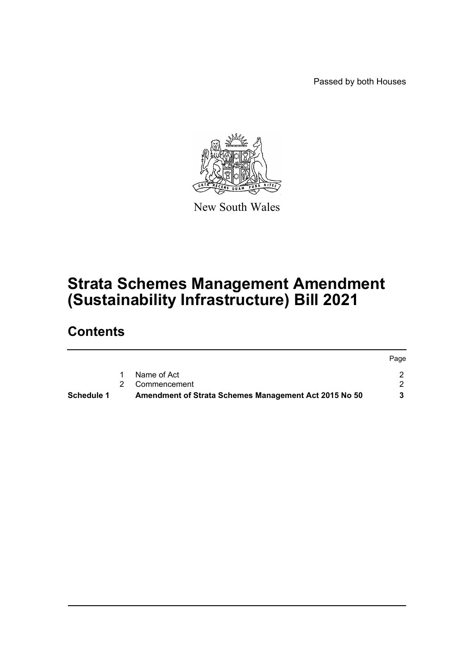Passed by both Houses



New South Wales

# **Strata Schemes Management Amendment (Sustainability Infrastructure) Bill 2021**

## **Contents**

| <b>Schedule 1</b> | Amendment of Strata Schemes Management Act 2015 No 50 |      |
|-------------------|-------------------------------------------------------|------|
|                   | Name of Act<br>2 Commencement                         |      |
|                   |                                                       | Page |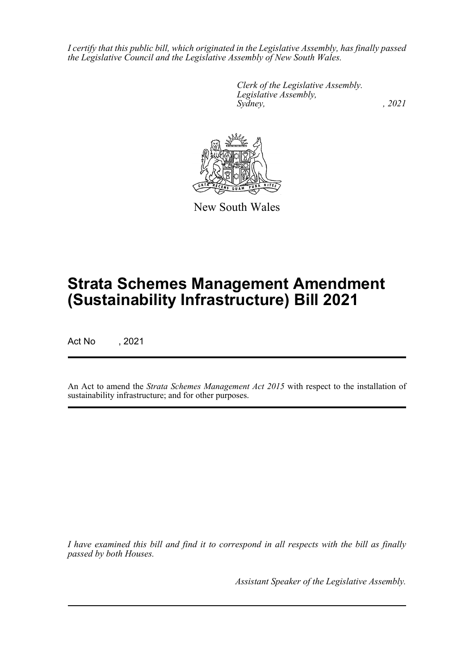*I certify that this public bill, which originated in the Legislative Assembly, has finally passed the Legislative Council and the Legislative Assembly of New South Wales.*

> *Clerk of the Legislative Assembly. Legislative Assembly, Sydney, , 2021*



New South Wales

# **Strata Schemes Management Amendment (Sustainability Infrastructure) Bill 2021**

Act No , 2021

An Act to amend the *Strata Schemes Management Act 2015* with respect to the installation of sustainability infrastructure; and for other purposes.

*I have examined this bill and find it to correspond in all respects with the bill as finally passed by both Houses.*

*Assistant Speaker of the Legislative Assembly.*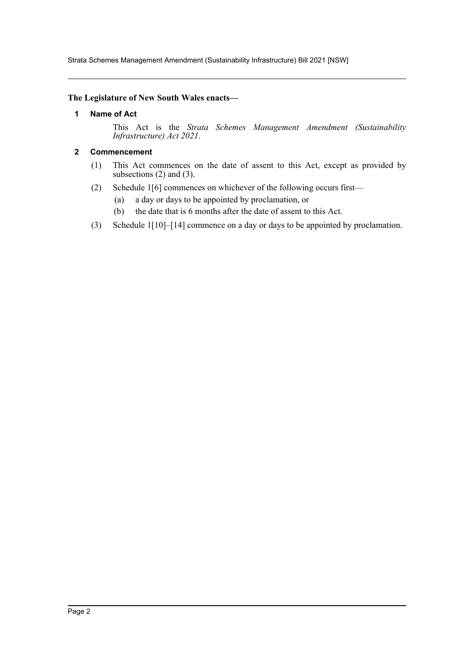Strata Schemes Management Amendment (Sustainability Infrastructure) Bill 2021 [NSW]

#### <span id="page-2-0"></span>**The Legislature of New South Wales enacts—**

#### **1 Name of Act**

This Act is the *Strata Schemes Management Amendment (Sustainability Infrastructure) Act 2021*.

#### <span id="page-2-1"></span>**2 Commencement**

- (1) This Act commences on the date of assent to this Act, except as provided by subsections  $(2)$  and  $(3)$ .
- (2) Schedule 1[6] commences on whichever of the following occurs first—
	- (a) a day or days to be appointed by proclamation, or
	- (b) the date that is 6 months after the date of assent to this Act.
- (3) Schedule 1[10]–[14] commence on a day or days to be appointed by proclamation.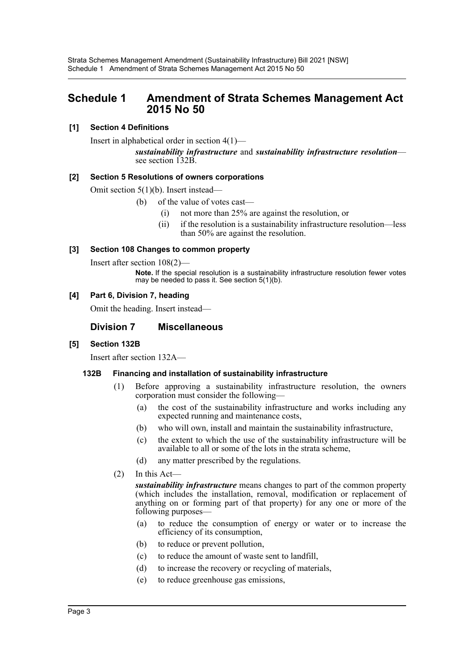## <span id="page-3-0"></span>**Schedule 1 Amendment of Strata Schemes Management Act 2015 No 50**

## **[1] Section 4 Definitions**

Insert in alphabetical order in section 4(1)—

*sustainability infrastructure* and *sustainability infrastructure resolution*— see section 132B.

## **[2] Section 5 Resolutions of owners corporations**

Omit section 5(1)(b). Insert instead—

- (b) of the value of votes cast—
	- (i) not more than 25% are against the resolution, or
	- (ii) if the resolution is a sustainability infrastructure resolution—less than 50% are against the resolution.

## **[3] Section 108 Changes to common property**

Insert after section 108(2)—

**Note.** If the special resolution is a sustainability infrastructure resolution fewer votes may be needed to pass it. See section 5(1)(b).

## **[4] Part 6, Division 7, heading**

Omit the heading. Insert instead—

## **Division 7 Miscellaneous**

## **[5] Section 132B**

Insert after section 132A—

## **132B Financing and installation of sustainability infrastructure**

- (1) Before approving a sustainability infrastructure resolution, the owners corporation must consider the following—
	- (a) the cost of the sustainability infrastructure and works including any expected running and maintenance costs,
	- (b) who will own, install and maintain the sustainability infrastructure,
	- (c) the extent to which the use of the sustainability infrastructure will be available to all or some of the lots in the strata scheme,
	- (d) any matter prescribed by the regulations.
- (2) In this Act—

*sustainability infrastructure* means changes to part of the common property (which includes the installation, removal, modification or replacement of anything on or forming part of that property) for any one or more of the following purposes—

- (a) to reduce the consumption of energy or water or to increase the efficiency of its consumption,
- (b) to reduce or prevent pollution,
- (c) to reduce the amount of waste sent to landfill,
- (d) to increase the recovery or recycling of materials,
- (e) to reduce greenhouse gas emissions,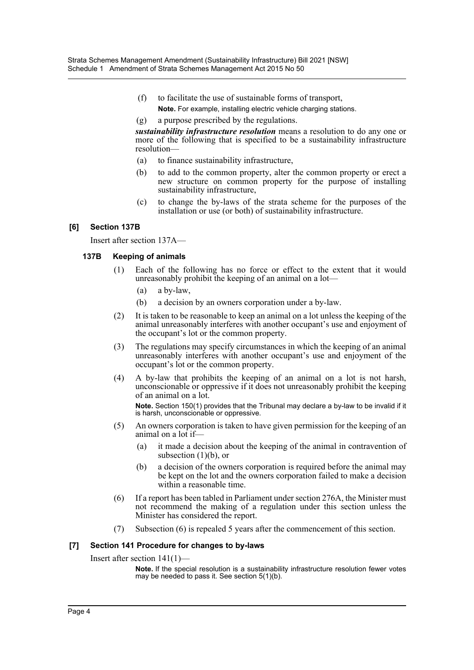- (f) to facilitate the use of sustainable forms of transport, **Note.** For example, installing electric vehicle charging stations.
- (g) a purpose prescribed by the regulations.

*sustainability infrastructure resolution* means a resolution to do any one or more of the following that is specified to be a sustainability infrastructure resolution—

- (a) to finance sustainability infrastructure,
- (b) to add to the common property, alter the common property or erect a new structure on common property for the purpose of installing sustainability infrastructure,
- (c) to change the by-laws of the strata scheme for the purposes of the installation or use (or both) of sustainability infrastructure.

#### **[6] Section 137B**

Insert after section 137A—

#### **137B Keeping of animals**

- (1) Each of the following has no force or effect to the extent that it would unreasonably prohibit the keeping of an animal on a lot—
	- (a) a by-law,
	- (b) a decision by an owners corporation under a by-law.
- (2) It is taken to be reasonable to keep an animal on a lot unless the keeping of the animal unreasonably interferes with another occupant's use and enjoyment of the occupant's lot or the common property.
- (3) The regulations may specify circumstances in which the keeping of an animal unreasonably interferes with another occupant's use and enjoyment of the occupant's lot or the common property.
- (4) A by-law that prohibits the keeping of an animal on a lot is not harsh, unconscionable or oppressive if it does not unreasonably prohibit the keeping of an animal on a lot. **Note.** Section 150(1) provides that the Tribunal may declare a by-law to be invalid if it is harsh, unconscionable or oppressive.
- (5) An owners corporation is taken to have given permission for the keeping of an animal on a lot if—
	- (a) it made a decision about the keeping of the animal in contravention of subsection  $(1)(b)$ , or
	- (b) a decision of the owners corporation is required before the animal may be kept on the lot and the owners corporation failed to make a decision within a reasonable time.
- (6) If a report has been tabled in Parliament under section 276A, the Minister must not recommend the making of a regulation under this section unless the Minister has considered the report.
- (7) Subsection (6) is repealed 5 years after the commencement of this section.

## **[7] Section 141 Procedure for changes to by-laws**

Insert after section 141(1)—

**Note.** If the special resolution is a sustainability infrastructure resolution fewer votes may be needed to pass it. See section 5(1)(b).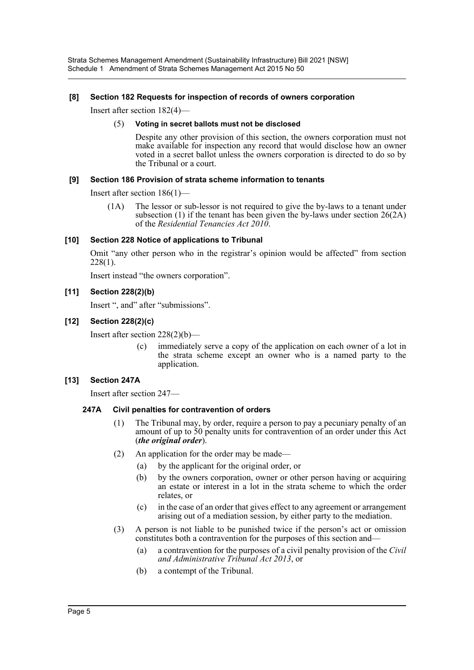Strata Schemes Management Amendment (Sustainability Infrastructure) Bill 2021 [NSW] Schedule 1 Amendment of Strata Schemes Management Act 2015 No 50

#### **[8] Section 182 Requests for inspection of records of owners corporation**

Insert after section 182(4)—

#### (5) **Voting in secret ballots must not be disclosed**

Despite any other provision of this section, the owners corporation must not make available for inspection any record that would disclose how an owner voted in a secret ballot unless the owners corporation is directed to do so by the Tribunal or a court.

#### **[9] Section 186 Provision of strata scheme information to tenants**

Insert after section 186(1)—

(1A) The lessor or sub-lessor is not required to give the by-laws to a tenant under subsection (1) if the tenant has been given the by-laws under section 26(2A) of the *Residential Tenancies Act 2010*.

#### **[10] Section 228 Notice of applications to Tribunal**

Omit "any other person who in the registrar's opinion would be affected" from section 228(1).

Insert instead "the owners corporation".

#### **[11] Section 228(2)(b)**

Insert ", and" after "submissions".

#### **[12] Section 228(2)(c)**

Insert after section 228(2)(b)—

(c) immediately serve a copy of the application on each owner of a lot in the strata scheme except an owner who is a named party to the application.

#### **[13] Section 247A**

Insert after section 247—

#### **247A Civil penalties for contravention of orders**

- (1) The Tribunal may, by order, require a person to pay a pecuniary penalty of an amount of up to 50 penalty units for contravention of an order under this Act (*the original order*).
- (2) An application for the order may be made—
	- (a) by the applicant for the original order, or
	- (b) by the owners corporation, owner or other person having or acquiring an estate or interest in a lot in the strata scheme to which the order relates, or
	- (c) in the case of an order that gives effect to any agreement or arrangement arising out of a mediation session, by either party to the mediation.
- (3) A person is not liable to be punished twice if the person's act or omission constitutes both a contravention for the purposes of this section and—
	- (a) a contravention for the purposes of a civil penalty provision of the *Civil and Administrative Tribunal Act 2013*, or
	- (b) a contempt of the Tribunal.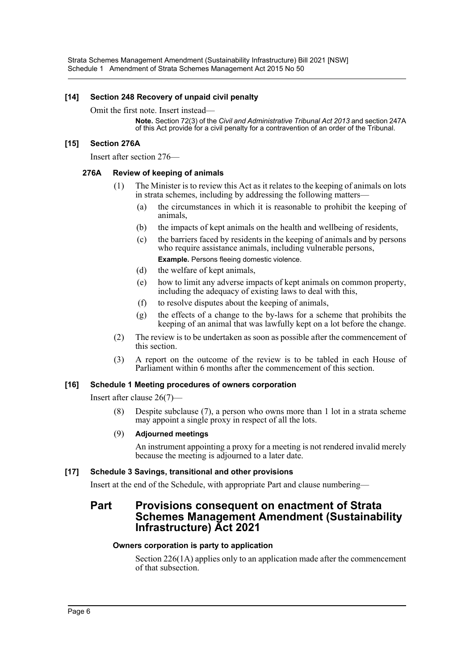#### **[14] Section 248 Recovery of unpaid civil penalty**

#### Omit the first note. Insert instead—

**Note.** Section 72(3) of the *Civil and Administrative Tribunal Act 2013* and section 247A of this Act provide for a civil penalty for a contravention of an order of the Tribunal.

#### **[15] Section 276A**

Insert after section 276—

#### **276A Review of keeping of animals**

- (1) The Minister is to review this Act as it relates to the keeping of animals on lots in strata schemes, including by addressing the following matters—
	- (a) the circumstances in which it is reasonable to prohibit the keeping of animals,
	- (b) the impacts of kept animals on the health and wellbeing of residents,
	- (c) the barriers faced by residents in the keeping of animals and by persons who require assistance animals, including vulnerable persons, **Example.** Persons fleeing domestic violence.
	- (d) the welfare of kept animals,
	- (e) how to limit any adverse impacts of kept animals on common property, including the adequacy of existing laws to deal with this,
	- (f) to resolve disputes about the keeping of animals,
	- (g) the effects of a change to the by-laws for a scheme that prohibits the keeping of an animal that was lawfully kept on a lot before the change.
- (2) The review is to be undertaken as soon as possible after the commencement of this section.
- (3) A report on the outcome of the review is to be tabled in each House of Parliament within 6 months after the commencement of this section.

#### **[16] Schedule 1 Meeting procedures of owners corporation**

Insert after clause 26(7)—

(8) Despite subclause (7), a person who owns more than 1 lot in a strata scheme may appoint a single proxy in respect of all the lots.

#### (9) **Adjourned meetings**

An instrument appointing a proxy for a meeting is not rendered invalid merely because the meeting is adjourned to a later date.

#### **[17] Schedule 3 Savings, transitional and other provisions**

Insert at the end of the Schedule, with appropriate Part and clause numbering—

## **Part Provisions consequent on enactment of Strata Schemes Management Amendment (Sustainability Infrastructure) Act 2021**

#### **Owners corporation is party to application**

Section 226(1A) applies only to an application made after the commencement of that subsection.